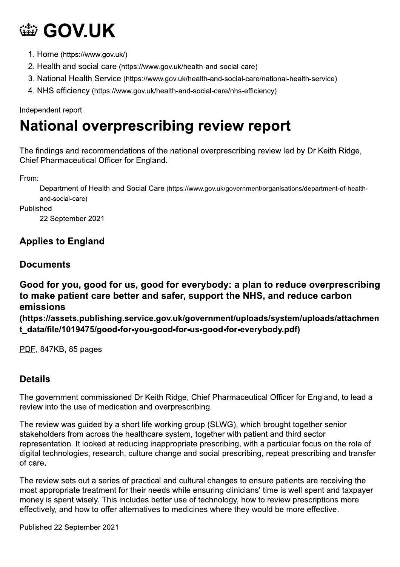## GOV.UK

- 1. Home (https://www.gov.uk/)
- 2. Health and social care (https://www.gov.uk/health-and-social-care)
- 3. National Health Service (https://www.gov.uk/health-and-social-care/national-health-service)
- 4. NHS efficiency (https://www.gov.uk/health-and-social-care/nhs-efficiency)

### Independent report

## National overprescribing review report

WE THE FIRM THE STRIDGE OF THE STRIDGE TO THE Chief Pharmaceutical Officer for England.<br>
The findings and recommendations of the national overprescribing review led by Dr Keith FC<br>
Chief Pharmaceutical Officer for England. The findings and recommendations of the national overprescribing review led by Dr Keith Ridge, Chief Pharmaceutical Officer for England.

From:<br>Department of Health and Social Care (https://www.gov.uk/government/organisations/department-of-healthand-social-care)

Published<br>
22 September 2021

## **Applies to England**

## Documents

# Good for you, good for us, good for everybody: a plan to reduce overprescribing to make patient care better and safer, support the NHS, and reduce carbon emissions Good for you, good for us, good for everybody: a plan to reduce overprescribing<br>to make patient care better and safer, support the NHS, and reduce carbon<br>emissions<br>(https://assets.publishing.service.gov.uk/government/uploa

(https://assets.publishing.service.gov.uk/government/uploads/system/uploads/attachmen<br>t\_data/file/1019475/good-for-you-good-for-us-good-for-everybody.pdf)

stakeholders from across the healthcare system, together with patient and third sector representation. It looked at reducing inappropriate prescribing, with a particular focus on the role of digital technologies, research, culture change and social prescribing, repeat prescribing and transfer of care

The review sets out a series of practical and cultural changes to ensure patients are receiving the most appropriate treatment for their needs while ensuring clinicians' time is well spent and taxpayer money is spent wisely. This includes better use of technology, how to review prescriptions more effectively, and how to offer alternatives to medicines where they would be more effective.

Published 22 September 2021